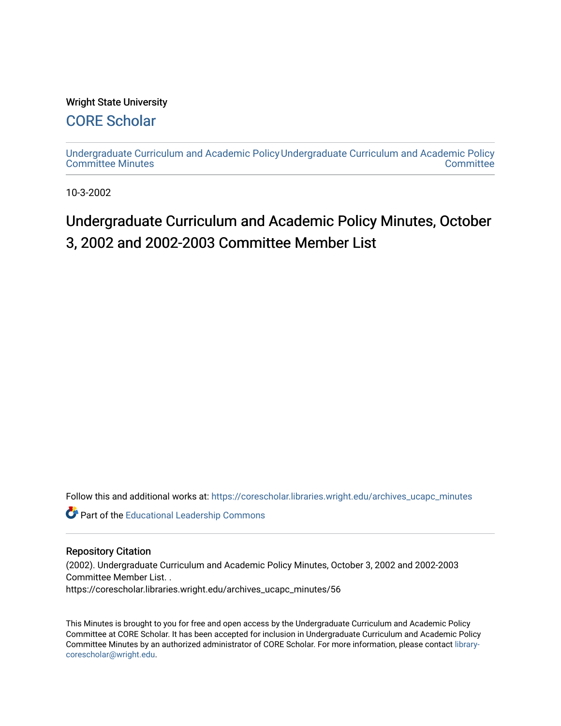### Wright State University

# [CORE Scholar](https://corescholar.libraries.wright.edu/)

[Undergraduate Curriculum and Academic Policy](https://corescholar.libraries.wright.edu/archives_ucapc_minutes) [Undergraduate Curriculum and Academic Policy](https://corescholar.libraries.wright.edu/archives_ucapc)  [Committee Minutes](https://corescholar.libraries.wright.edu/archives_ucapc_minutes) **Committee** 

10-3-2002

# Undergraduate Curriculum and Academic Policy Minutes, October 3, 2002 and 2002-2003 Committee Member List

Follow this and additional works at: [https://corescholar.libraries.wright.edu/archives\\_ucapc\\_minutes](https://corescholar.libraries.wright.edu/archives_ucapc_minutes?utm_source=corescholar.libraries.wright.edu%2Farchives_ucapc_minutes%2F56&utm_medium=PDF&utm_campaign=PDFCoverPages) 

Part of the [Educational Leadership Commons](http://network.bepress.com/hgg/discipline/1230?utm_source=corescholar.libraries.wright.edu%2Farchives_ucapc_minutes%2F56&utm_medium=PDF&utm_campaign=PDFCoverPages) 

#### Repository Citation

(2002). Undergraduate Curriculum and Academic Policy Minutes, October 3, 2002 and 2002-2003 Committee Member List. .

https://corescholar.libraries.wright.edu/archives\_ucapc\_minutes/56

This Minutes is brought to you for free and open access by the Undergraduate Curriculum and Academic Policy Committee at CORE Scholar. It has been accepted for inclusion in Undergraduate Curriculum and Academic Policy Committee Minutes by an authorized administrator of CORE Scholar. For more information, please contact [library](mailto:library-corescholar@wright.edu)[corescholar@wright.edu](mailto:library-corescholar@wright.edu).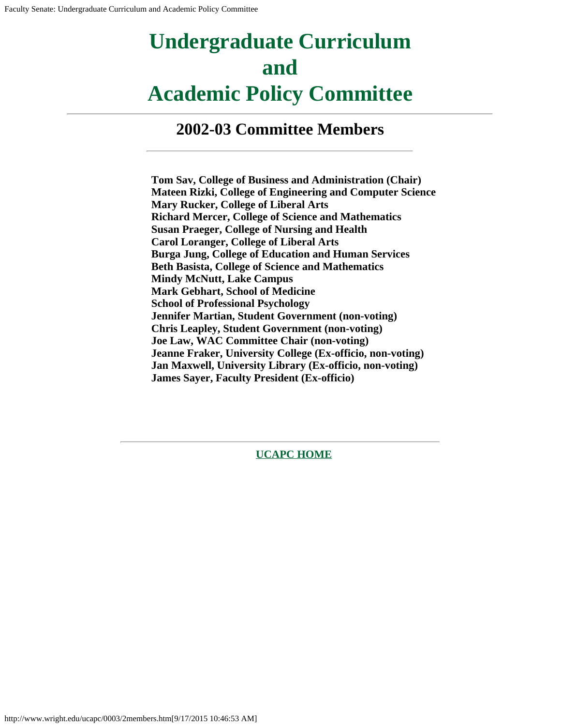# **Undergraduate Curriculum and Academic Policy Committee**

**2002-03 Committee Members**

**Tom Sav, College of Business and Administration (Chair) Mateen Rizki, College of Engineering and Computer Science Mary Rucker, College of Liberal Arts Richard Mercer, College of Science and Mathematics Susan Praeger, College of Nursing and Health Carol Loranger, College of Liberal Arts Burga Jung, College of Education and Human Services Beth Basista, College of Science and Mathematics Mindy McNutt, Lake Campus Mark Gebhart, School of Medicine School of Professional Psychology Jennifer Martian, Student Government (non-voting) Chris Leapley, Student Government (non-voting) Joe Law, WAC Committee Chair (non-voting) Jeanne Fraker, University College (Ex-officio, non-voting) Jan Maxwell, University Library (Ex-officio, non-voting) James Sayer, Faculty President (Ex-officio)**

**[UCAPC HOME](http://www.wright.edu/ucapc/index.htm)**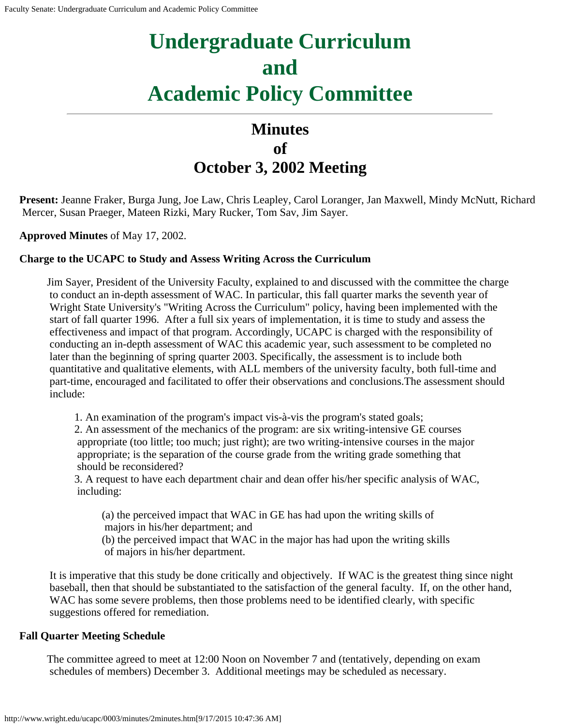# **Undergraduate Curriculum and Academic Policy Committee**

# **Minutes of October 3, 2002 Meeting**

**Present:** Jeanne Fraker, Burga Jung, Joe Law, Chris Leapley, Carol Loranger, Jan Maxwell, Mindy McNutt, Richard Mercer, Susan Praeger, Mateen Rizki, Mary Rucker, Tom Sav, Jim Sayer.

**Approved Minutes** of May 17, 2002.

#### **Charge to the UCAPC to Study and Assess Writing Across the Curriculum**

Jim Sayer, President of the University Faculty, explained to and discussed with the committee the charge to conduct an in-depth assessment of WAC. In particular, this fall quarter marks the seventh year of Wright State University's "Writing Across the Curriculum" policy, having been implemented with the start of fall quarter 1996. After a full six years of implementation, it is time to study and assess the effectiveness and impact of that program. Accordingly, UCAPC is charged with the responsibility of conducting an in-depth assessment of WAC this academic year, such assessment to be completed no later than the beginning of spring quarter 2003. Specifically, the assessment is to include both quantitative and qualitative elements, with ALL members of the university faculty, both full-time and part-time, encouraged and facilitated to offer their observations and conclusions.The assessment should include:

1. An examination of the program's impact vis-à-vis the program's stated goals;

2. An assessment of the mechanics of the program: are six writing-intensive GE courses appropriate (too little; too much; just right); are two writing-intensive courses in the major appropriate; is the separation of the course grade from the writing grade something that should be reconsidered?

3. A request to have each department chair and dean offer his/her specific analysis of WAC, including:

(a) the perceived impact that WAC in GE has had upon the writing skills of majors in his/her department; and

(b) the perceived impact that WAC in the major has had upon the writing skills of majors in his/her department.

It is imperative that this study be done critically and objectively. If WAC is the greatest thing since night baseball, then that should be substantiated to the satisfaction of the general faculty. If, on the other hand, WAC has some severe problems, then those problems need to be identified clearly, with specific suggestions offered for remediation.

#### **Fall Quarter Meeting Schedule**

The committee agreed to meet at 12:00 Noon on November 7 and (tentatively, depending on exam schedules of members) December 3. Additional meetings may be scheduled as necessary.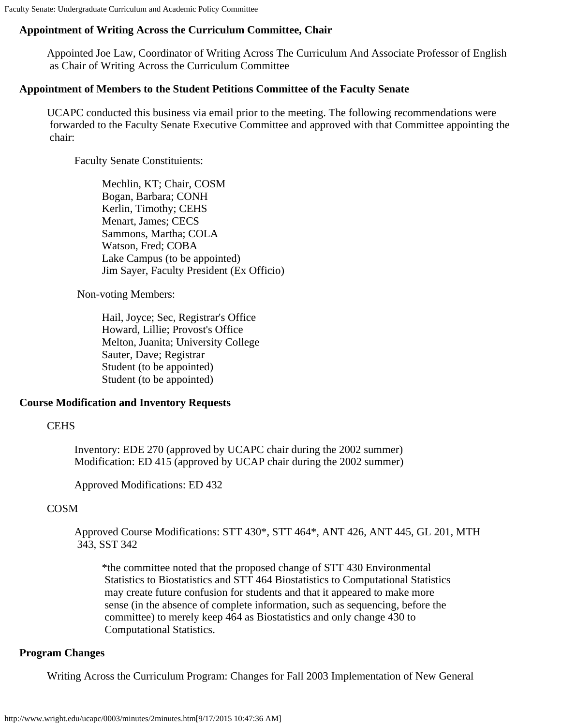Faculty Senate: Undergraduate Curriculum and Academic Policy Committee

#### **Appointment of Writing Across the Curriculum Committee, Chair**

Appointed Joe Law, Coordinator of Writing Across The Curriculum And Associate Professor of English as Chair of Writing Across the Curriculum Committee

#### **Appointment of Members to the Student Petitions Committee of the Faculty Senate**

UCAPC conducted this business via email prior to the meeting. The following recommendations were forwarded to the Faculty Senate Executive Committee and approved with that Committee appointing the chair:

Faculty Senate Constituients:

Mechlin, KT; Chair, COSM Bogan, Barbara; CONH Kerlin, Timothy; CEHS Menart, James; CECS Sammons, Martha; COLA Watson, Fred; COBA Lake Campus (to be appointed) Jim Sayer, Faculty President (Ex Officio)

Non-voting Members:

Hail, Joyce; Sec, Registrar's Office Howard, Lillie; Provost's Office Melton, Juanita; University College Sauter, Dave; Registrar Student (to be appointed) Student (to be appointed)

#### **Course Modification and Inventory Requests**

#### **CEHS**

Inventory: EDE 270 (approved by UCAPC chair during the 2002 summer) Modification: ED 415 (approved by UCAP chair during the 2002 summer)

Approved Modifications: ED 432

#### COSM

Approved Course Modifications: STT 430\*, STT 464\*, ANT 426, ANT 445, GL 201, MTH 343, SST 342

\*the committee noted that the proposed change of STT 430 Environmental Statistics to Biostatistics and STT 464 Biostatistics to Computational Statistics may create future confusion for students and that it appeared to make more sense (in the absence of complete information, such as sequencing, before the committee) to merely keep 464 as Biostatistics and only change 430 to Computational Statistics.

#### **Program Changes**

Writing Across the Curriculum Program: Changes for Fall 2003 Implementation of New General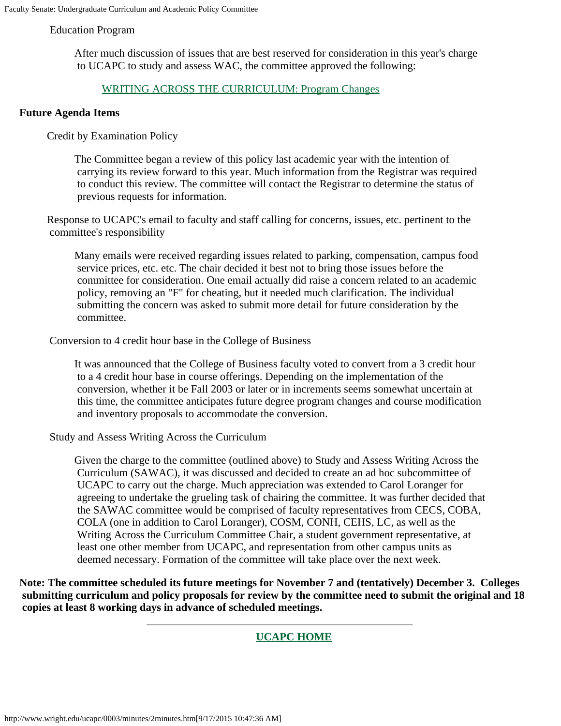#### Education Program

After much discussion of issues that are best reserved for consideration in this year's charge to UCAPC to study and assess WAC, the committee approved the following:

#### [WRITING ACROSS THE CURRICULUM: Program](#page-5-0) Changes

#### **Future Agenda Items**

Credit by Examination Policy

The Committee began a review of this policy last academic year with the intention of carrying its review forward to this year. Much information from the Registrar was required to conduct this review. The committee will contact the Registrar to determine the status of previous requests for information.

Response to UCAPC's email to faculty and staff calling for concerns, issues, etc. pertinent to the committee's responsibility

Many emails were received regarding issues related to parking, compensation, campus food service prices, etc. etc. The chair decided it best not to bring those issues before the committee for consideration. One email actually did raise a concern related to an academic policy, removing an "F" for cheating, but it needed much clarification. The individual submitting the concern was asked to submit more detail for future consideration by the committee.

Conversion to 4 credit hour base in the College of Business

It was announced that the College of Business faculty voted to convert from a 3 credit hour to a 4 credit hour base in course offerings. Depending on the implementation of the conversion, whether it be Fall 2003 or later or in increments seems somewhat uncertain at this time, the committee anticipates future degree program changes and course modification and inventory proposals to accommodate the conversion.

Study and Assess Writing Across the Curriculum

Given the charge to the committee (outlined above) to Study and Assess Writing Across the Curriculum (SAWAC), it was discussed and decided to create an ad hoc subcommittee of UCAPC to carry out the charge. Much appreciation was extended to Carol Loranger for agreeing to undertake the grueling task of chairing the committee. It was further decided that the SAWAC committee would be comprised of faculty representatives from CECS, COBA, COLA (one in addition to Carol Loranger), COSM, CONH, CEHS, LC, as well as the Writing Across the Curriculum Committee Chair, a student government representative, at least one other member from UCAPC, and representation from other campus units as deemed necessary. Formation of the committee will take place over the next week.

**Note: The committee scheduled its future meetings for November 7 and (tentatively) December 3. Colleges submitting curriculum and policy proposals for review by the committee need to submit the original and 18 copies at least 8 working days in advance of scheduled meetings.**

#### **[UCAPC HOME](http://www.wright.edu/ucapc/index.htm)**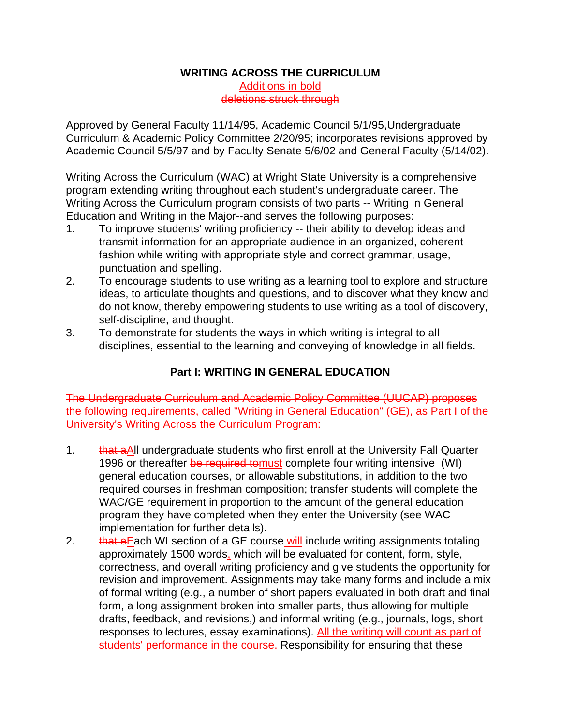#### **WRITING ACROSS THE CURRICULUM**

Additions in bold deletions struck through

<span id="page-5-0"></span>Approved by General Faculty 11/14/95, Academic Council 5/1/95,Undergraduate Curriculum & Academic Policy Committee 2/20/95; incorporates revisions approved by Academic Council 5/5/97 and by Faculty Senate 5/6/02 and General Faculty (5/14/02).

Writing Across the Curriculum (WAC) at Wright State University is a comprehensive program extending writing throughout each student's undergraduate career. The Writing Across the Curriculum program consists of two parts -- Writing in General Education and Writing in the Major--and serves the following purposes:

- 1. To improve students' writing proficiency -- their ability to develop ideas and transmit information for an appropriate audience in an organized, coherent fashion while writing with appropriate style and correct grammar, usage, punctuation and spelling.
- 2. To encourage students to use writing as a learning tool to explore and structure ideas, to articulate thoughts and questions, and to discover what they know and do not know, thereby empowering students to use writing as a tool of discovery, self-discipline, and thought.
- 3. To demonstrate for students the ways in which writing is integral to all disciplines, essential to the learning and conveying of knowledge in all fields.

# **Part I: WRITING IN GENERAL EDUCATION**

The Undergraduate Curriculum and Academic Policy Committee (UUCAP) proposes the following requirements, called "Writing in General Education" (GE), as Part I of the University's Writing Across the Curriculum Program:

- 1. that aAll undergraduate students who first enroll at the University Fall Quarter 1996 or thereafter be required to must complete four writing intensive (WI) general education courses, or allowable substitutions, in addition to the two required courses in freshman composition; transfer students will complete the WAC/GE requirement in proportion to the amount of the general education program they have completed when they enter the University (see WAC implementation for further details).
- 2. that eEach WI section of a GE course will include writing assignments totaling approximately 1500 words, which will be evaluated for content, form, style, correctness, and overall writing proficiency and give students the opportunity for revision and improvement. Assignments may take many forms and include a mix of formal writing (e.g., a number of short papers evaluated in both draft and final form, a long assignment broken into smaller parts, thus allowing for multiple drafts, feedback, and revisions,) and informal writing (e.g., journals, logs, short responses to lectures, essay examinations). All the writing will count as part of students' performance in the course. Responsibility for ensuring that these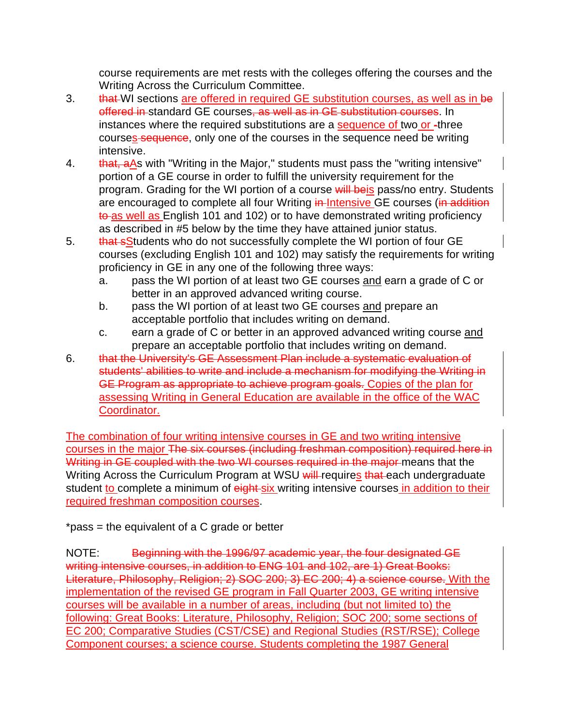course requirements are met rests with the colleges offering the courses and the Writing Across the Curriculum Committee.

- 3. that WI sections are offered in required GE substitution courses, as well as in be offered in standard GE courses, as well as in GE substitution courses. In instances where the required substitutions are a sequence of two or -three courses sequence, only one of the courses in the sequence need be writing intensive.
- 4. that, aAs with "Writing in the Major," students must pass the "writing intensive" portion of a GE course in order to fulfill the university requirement for the program. Grading for the WI portion of a course will beis pass/no entry. Students are encouraged to complete all four Writing in-Intensive GE courses (in addition to as well as English 101 and 102) or to have demonstrated writing proficiency as described in #5 below by the time they have attained junior status.
- 5. that sStudents who do not successfully complete the WI portion of four GE courses (excluding English 101 and 102) may satisfy the requirements for writing proficiency in GE in any one of the following three ways:
	- a. pass the WI portion of at least two GE courses and earn a grade of C or better in an approved advanced writing course.
	- b. pass the WI portion of at least two GE courses and prepare an acceptable portfolio that includes writing on demand.
	- c. earn a grade of C or better in an approved advanced writing course and prepare an acceptable portfolio that includes writing on demand.
- 6. that the University's GE Assessment Plan include a systematic evaluation of students' abilities to write and include a mechanism for modifying the Writing in GE Program as appropriate to achieve program goals. Copies of the plan for assessing Writing in General Education are available in the office of the WAC Coordinator.

The combination of four writing intensive courses in GE and two writing intensive courses in the major The six courses (including freshman composition) required here in Writing in GE coupled with the two WI courses required in the major means that the Writing Across the Curriculum Program at WSU will requires that each undergraduate student to complete a minimum of eight-six writing intensive courses in addition to their required freshman composition courses.

\*pass = the equivalent of a C grade or better

NOTE: Beginning with the 1996/97 academic year, the four designated GE writing intensive courses, in addition to ENG 101 and 102, are 1) Great Books: Literature, Philosophy, Religion; 2) SOC 200; 3) EC 200; 4) a science course. With the implementation of the revised GE program in Fall Quarter 2003, GE writing intensive courses will be available in a number of areas, including (but not limited to) the following: Great Books: Literature, Philosophy, Religion; SOC 200; some sections of EC 200; Comparative Studies (CST/CSE) and Regional Studies (RST/RSE); College Component courses; a science course. Students completing the 1987 General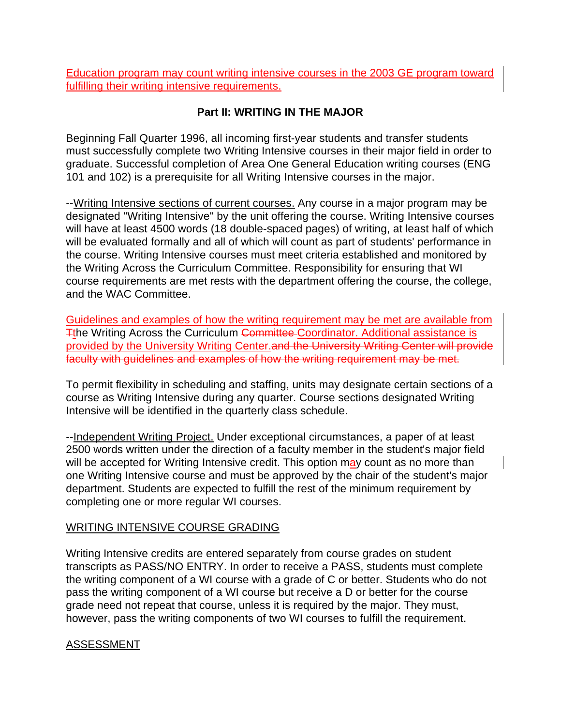Education program may count writing intensive courses in the 2003 GE program toward fulfilling their writing intensive requirements.

# **Part II: WRITING IN THE MAJOR**

Beginning Fall Quarter 1996, all incoming first-year students and transfer students must successfully complete two Writing Intensive courses in their major field in order to graduate. Successful completion of Area One General Education writing courses (ENG 101 and 102) is a prerequisite for all Writing Intensive courses in the major.

--Writing Intensive sections of current courses. Any course in a major program may be designated "Writing Intensive" by the unit offering the course. Writing Intensive courses will have at least 4500 words (18 double-spaced pages) of writing, at least half of which will be evaluated formally and all of which will count as part of students' performance in the course. Writing Intensive courses must meet criteria established and monitored by the Writing Across the Curriculum Committee. Responsibility for ensuring that WI course requirements are met rests with the department offering the course, the college, and the WAC Committee.

Guidelines and examples of how the writing requirement may be met are available from The Writing Across the Curriculum Committee Coordinator. Additional assistance is provided by the University Writing Center.and the University Writing Center will provide faculty with guidelines and examples of how the writing requirement may be met.

To permit flexibility in scheduling and staffing, units may designate certain sections of a course as Writing Intensive during any quarter. Course sections designated Writing Intensive will be identified in the quarterly class schedule.

--Independent Writing Project. Under exceptional circumstances, a paper of at least 2500 words written under the direction of a faculty member in the student's major field will be accepted for Writing Intensive credit. This option may count as no more than one Writing Intensive course and must be approved by the chair of the student's major department. Students are expected to fulfill the rest of the minimum requirement by completing one or more regular WI courses.

# WRITING INTENSIVE COURSE GRADING

Writing Intensive credits are entered separately from course grades on student transcripts as PASS/NO ENTRY. In order to receive a PASS, students must complete the writing component of a WI course with a grade of C or better. Students who do not pass the writing component of a WI course but receive a D or better for the course grade need not repeat that course, unless it is required by the major. They must, however, pass the writing components of two WI courses to fulfill the requirement.

# ASSESSMENT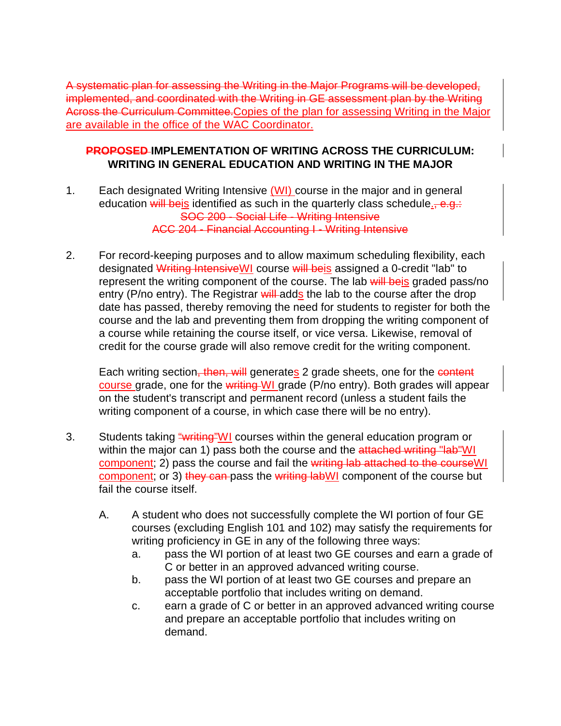A systematic plan for assessing the Writing in the Major Programs will be developed, implemented, and coordinated with the Writing in GE assessment plan by the Writing Across the Curriculum Committee.Copies of the plan for assessing Writing in the Major are available in the office of the WAC Coordinator.

### **PROPOSED IMPLEMENTATION OF WRITING ACROSS THE CURRICULUM: WRITING IN GENERAL EDUCATION AND WRITING IN THE MAJOR**

- 1. Each designated Writing Intensive (WI) course in the major and in general education will beis identified as such in the quarterly class schedule., e.g.: SOC 200 - Social Life - Writing Intensive ACC 204 - Financial Accounting I - Writing Intensive
- 2. For record-keeping purposes and to allow maximum scheduling flexibility, each designated Writing IntensiveWI course will beis assigned a 0-credit "lab" to represent the writing component of the course. The lab will beis graded pass/no entry (P/no entry). The Registrar will adds the lab to the course after the drop date has passed, thereby removing the need for students to register for both the course and the lab and preventing them from dropping the writing component of a course while retaining the course itself, or vice versa. Likewise, removal of credit for the course grade will also remove credit for the writing component.

Each writing section, then, will generates 2 grade sheets, one for the content course grade, one for the writing WI grade (P/no entry). Both grades will appear on the student's transcript and permanent record (unless a student fails the writing component of a course, in which case there will be no entry).

- 3. Students taking "writing" WI courses within the general education program or within the major can 1) pass both the course and the attached writing "lab"WI component; 2) pass the course and fail the writing lab attached to the course WI component; or 3) they can pass the writing labWI component of the course but fail the course itself.
	- A. A student who does not successfully complete the WI portion of four GE courses (excluding English 101 and 102) may satisfy the requirements for writing proficiency in GE in any of the following three ways:
		- a. pass the WI portion of at least two GE courses and earn a grade of C or better in an approved advanced writing course.
		- b. pass the WI portion of at least two GE courses and prepare an acceptable portfolio that includes writing on demand.
		- c. earn a grade of C or better in an approved advanced writing course and prepare an acceptable portfolio that includes writing on demand.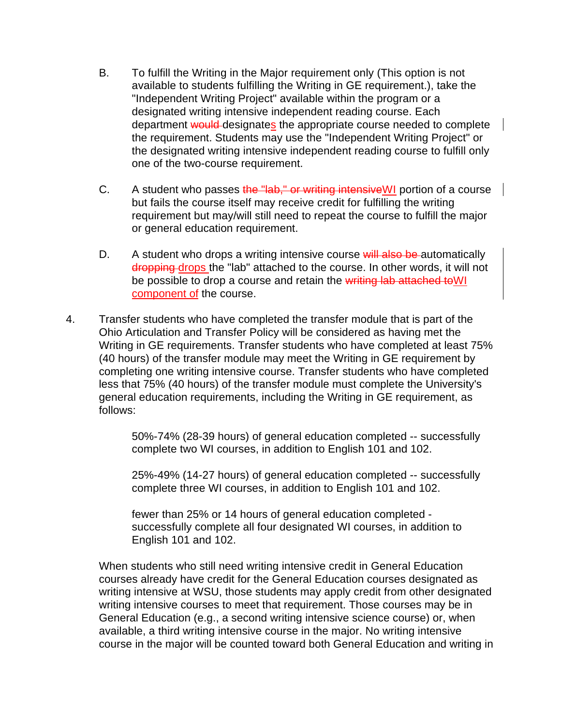- B. To fulfill the Writing in the Major requirement only (This option is not available to students fulfilling the Writing in GE requirement.), take the "Independent Writing Project" available within the program or a designated writing intensive independent reading course. Each department would designates the appropriate course needed to complete the requirement. Students may use the "Independent Writing Project" or the designated writing intensive independent reading course to fulfill only one of the two-course requirement.
- C. A student who passes the "lab," or writing intensive WI portion of a course but fails the course itself may receive credit for fulfilling the writing requirement but may/will still need to repeat the course to fulfill the major or general education requirement.
- D. A student who drops a writing intensive course will also be automatically dropping drops the "lab" attached to the course. In other words, it will not be possible to drop a course and retain the writing lab attached to WI component of the course.
- 4. Transfer students who have completed the transfer module that is part of the Ohio Articulation and Transfer Policy will be considered as having met the Writing in GE requirements. Transfer students who have completed at least 75% (40 hours) of the transfer module may meet the Writing in GE requirement by completing one writing intensive course. Transfer students who have completed less that 75% (40 hours) of the transfer module must complete the University's general education requirements, including the Writing in GE requirement, as follows:

50%-74% (28-39 hours) of general education completed -- successfully complete two WI courses, in addition to English 101 and 102.

25%-49% (14-27 hours) of general education completed -- successfully complete three WI courses, in addition to English 101 and 102.

fewer than 25% or 14 hours of general education completed successfully complete all four designated WI courses, in addition to English 101 and 102.

When students who still need writing intensive credit in General Education courses already have credit for the General Education courses designated as writing intensive at WSU, those students may apply credit from other designated writing intensive courses to meet that requirement. Those courses may be in General Education (e.g., a second writing intensive science course) or, when available, a third writing intensive course in the major. No writing intensive course in the major will be counted toward both General Education and writing in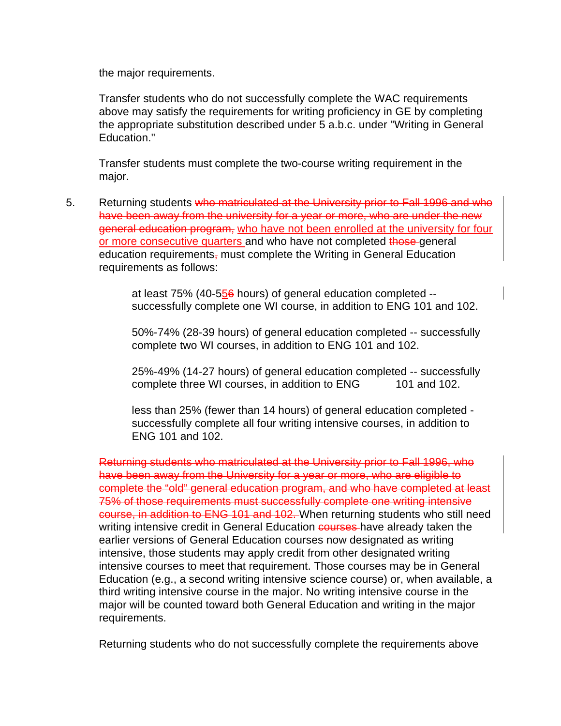the major requirements.

Transfer students who do not successfully complete the WAC requirements above may satisfy the requirements for writing proficiency in GE by completing the appropriate substitution described under 5 a.b.c. under "Writing in General Education."

Transfer students must complete the two-course writing requirement in the major.

5. Returning students who matriculated at the University prior to Fall 1996 and who have been away from the university for a year or more, who are under the new general education program, who have not been enrolled at the university for four or more consecutive quarters and who have not completed those general education requirements, must complete the Writing in General Education requirements as follows:

> at least 75% (40-556 hours) of general education completed - successfully complete one WI course, in addition to ENG 101 and 102.

> 50%-74% (28-39 hours) of general education completed -- successfully complete two WI courses, in addition to ENG 101 and 102.

> 25%-49% (14-27 hours) of general education completed -- successfully complete three WI courses, in addition to ENG 101 and 102.

less than 25% (fewer than 14 hours) of general education completed successfully complete all four writing intensive courses, in addition to ENG 101 and 102.

Returning students who matriculated at the University prior to Fall 1996, who have been away from the University for a year or more, who are eligible to complete the "old" general education program, and who have completed at least 75% of those requirements must successfully complete one writing intensive course, in addition to ENG 101 and 102. When returning students who still need writing intensive credit in General Education courses have already taken the earlier versions of General Education courses now designated as writing intensive, those students may apply credit from other designated writing intensive courses to meet that requirement. Those courses may be in General Education (e.g., a second writing intensive science course) or, when available, a third writing intensive course in the major. No writing intensive course in the major will be counted toward both General Education and writing in the major requirements.

Returning students who do not successfully complete the requirements above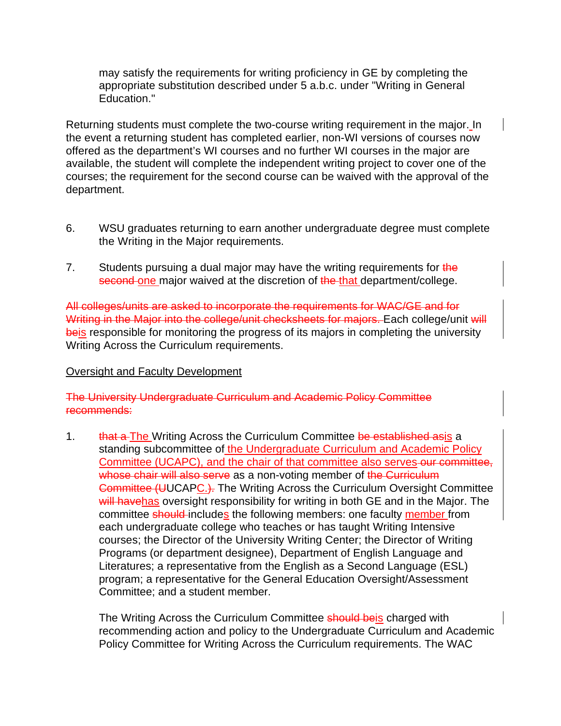may satisfy the requirements for writing proficiency in GE by completing the appropriate substitution described under 5 a.b.c. under "Writing in General Education."

Returning students must complete the two-course writing requirement in the major. In the event a returning student has completed earlier, non-WI versions of courses now offered as the department's WI courses and no further WI courses in the major are available, the student will complete the independent writing project to cover one of the courses; the requirement for the second course can be waived with the approval of the department.

- 6. WSU graduates returning to earn another undergraduate degree must complete the Writing in the Major requirements.
- 7. Students pursuing a dual major may have the writing requirements for the second one major waived at the discretion of the that department/college.

All colleges/units are asked to incorporate the requirements for WAC/GE and for Writing in the Major into the college/unit checksheets for majors. Each college/unit will beis responsible for monitoring the progress of its majors in completing the university Writing Across the Curriculum requirements.

#### Oversight and Faculty Development

The University Undergraduate Curriculum and Academic Policy Committee recommends:

1. that a The Writing Across the Curriculum Committee be established asis a standing subcommittee of the Undergraduate Curriculum and Academic Policy Committee (UCAPC), and the chair of that committee also serves-our committee, whose chair will also serve as a non-voting member of the Curriculum **Committee (UUCAPC.).** The Writing Across the Curriculum Oversight Committee will havehas oversight responsibility for writing in both GE and in the Major. The committee should-includes the following members: one faculty member from each undergraduate college who teaches or has taught Writing Intensive courses; the Director of the University Writing Center; the Director of Writing Programs (or department designee), Department of English Language and Literatures; a representative from the English as a Second Language (ESL) program; a representative for the General Education Oversight/Assessment Committee; and a student member.

The Writing Across the Curriculum Committee should beis charged with recommending action and policy to the Undergraduate Curriculum and Academic Policy Committee for Writing Across the Curriculum requirements. The WAC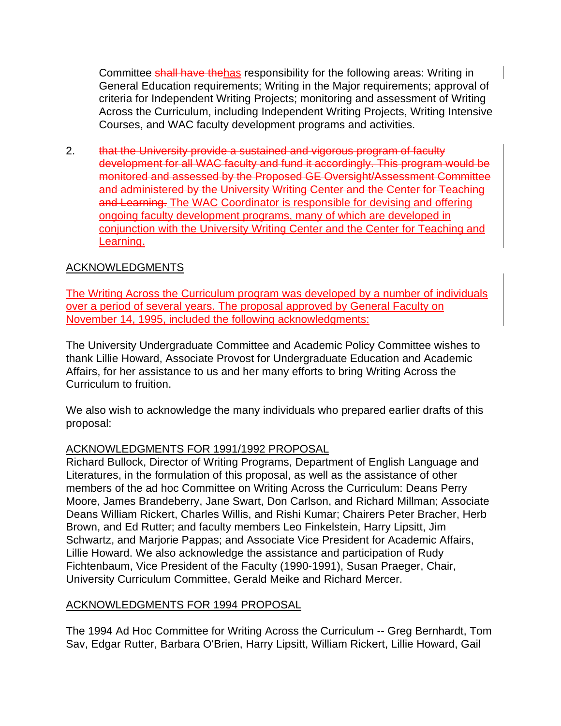Committee shall have thehas responsibility for the following areas: Writing in General Education requirements; Writing in the Major requirements; approval of criteria for Independent Writing Projects; monitoring and assessment of Writing Across the Curriculum, including Independent Writing Projects, Writing Intensive Courses, and WAC faculty development programs and activities.

2. that the University provide a sustained and vigorous program of faculty development for all WAC faculty and fund it accordingly. This program would be monitored and assessed by the Proposed GE Oversight/Assessment Committee and administered by the University Writing Center and the Center for Teaching and Learning. The WAC Coordinator is responsible for devising and offering ongoing faculty development programs, many of which are developed in conjunction with the University Writing Center and the Center for Teaching and Learning.

# ACKNOWLEDGMENTS

The Writing Across the Curriculum program was developed by a number of individuals over a period of several years. The proposal approved by General Faculty on November 14, 1995, included the following acknowledgments:

The University Undergraduate Committee and Academic Policy Committee wishes to thank Lillie Howard, Associate Provost for Undergraduate Education and Academic Affairs, for her assistance to us and her many efforts to bring Writing Across the Curriculum to fruition.

We also wish to acknowledge the many individuals who prepared earlier drafts of this proposal:

#### ACKNOWLEDGMENTS FOR 1991/1992 PROPOSAL

Richard Bullock, Director of Writing Programs, Department of English Language and Literatures, in the formulation of this proposal, as well as the assistance of other members of the ad hoc Committee on Writing Across the Curriculum: Deans Perry Moore, James Brandeberry, Jane Swart, Don Carlson, and Richard Millman; Associate Deans William Rickert, Charles Willis, and Rishi Kumar; Chairers Peter Bracher, Herb Brown, and Ed Rutter; and faculty members Leo Finkelstein, Harry Lipsitt, Jim Schwartz, and Marjorie Pappas; and Associate Vice President for Academic Affairs, Lillie Howard. We also acknowledge the assistance and participation of Rudy Fichtenbaum, Vice President of the Faculty (1990-1991), Susan Praeger, Chair, University Curriculum Committee, Gerald Meike and Richard Mercer.

#### ACKNOWLEDGMENTS FOR 1994 PROPOSAL

The 1994 Ad Hoc Committee for Writing Across the Curriculum -- Greg Bernhardt, Tom Sav, Edgar Rutter, Barbara O'Brien, Harry Lipsitt, William Rickert, Lillie Howard, Gail